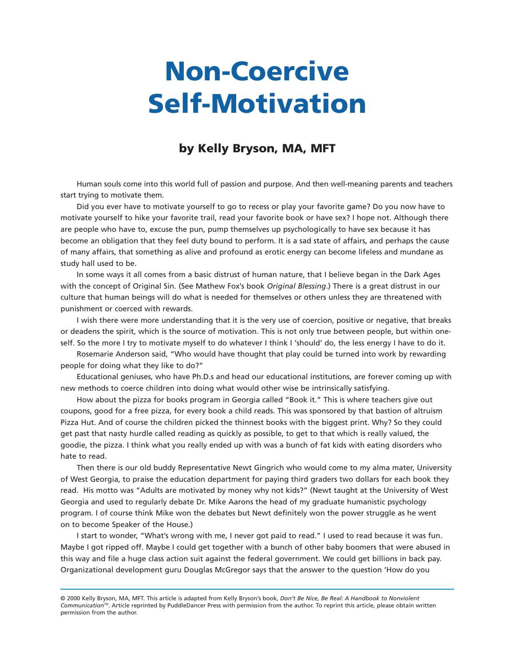# **Non-Coercive Self-Motivation**

# **by Kelly Bryson, MA, MFT**

Human souls come into this world full of passion and purpose. And then well-meaning parents and teachers start trying to motivate them.

Did you ever have to motivate yourself to go to recess or play your favorite game? Do you now have to motivate yourself to hike your favorite trail, read your favorite book or have sex? I hope not. Although there are people who have to, excuse the pun, pump themselves up psychologically to have sex because it has become an obligation that they feel duty bound to perform. It is a sad state of affairs, and perhaps the cause of many affairs, that something as alive and profound as erotic energy can become lifeless and mundane as study hall used to be.

In some ways it all comes from a basic distrust of human nature, that I believe began in the Dark Ages with the concept of Original Sin. (See Mathew Fox's book *Original Blessing*.) There is a great distrust in our culture that human beings will do what is needed for themselves or others unless they are threatened with punishment or coerced with rewards.

I wish there were more understanding that it is the very use of coercion, positive or negative, that breaks or deadens the spirit, which is the source of motivation. This is not only true between people, but within oneself. So the more I try to motivate myself to do whatever I think I 'should' do, the less energy I have to do it.

Rosemarie Anderson said, "Who would have thought that play could be turned into work by rewarding people for doing what they like to do?"

Educational geniuses, who have Ph.D.s and head our educational institutions, are forever coming up with new methods to coerce children into doing what would other wise be intrinsically satisfying.

How about the pizza for books program in Georgia called "Book it." This is where teachers give out coupons, good for a free pizza, for every book a child reads. This was sponsored by that bastion of altruism Pizza Hut. And of course the children picked the thinnest books with the biggest print. Why? So they could get past that nasty hurdle called reading as quickly as possible, to get to that which is really valued, the goodie, the pizza. I think what you really ended up with was a bunch of fat kids with eating disorders who hate to read.

Then there is our old buddy Representative Newt Gingrich who would come to my alma mater, University of West Georgia, to praise the education department for paying third graders two dollars for each book they read. His motto was "Adults are motivated by money why not kids?" (Newt taught at the University of West Georgia and used to regularly debate Dr. Mike Aarons the head of my graduate humanistic psychology program. I of course think Mike won the debates but Newt definitely won the power struggle as he went on to become Speaker of the House.)

I start to wonder, "What's wrong with me, I never got paid to read." I used to read because it was fun. Maybe I got ripped off. Maybe I could get together with a bunch of other baby boomers that were abused in this way and file a huge class action suit against the federal government. We could get billions in back pay. Organizational development guru Douglas McGregor says that the answer to the question 'How do you

<sup>©</sup> 2000 Kelly Bryson, MA, MFT. This article is adapted from Kelly Bryson's book, *Don't Be Nice, Be Real: A Handbook to Nonviolent CommunicationTM*. Article reprinted by PuddleDancer Press with permission from the author. To reprint this article, please obtain written permission from the author.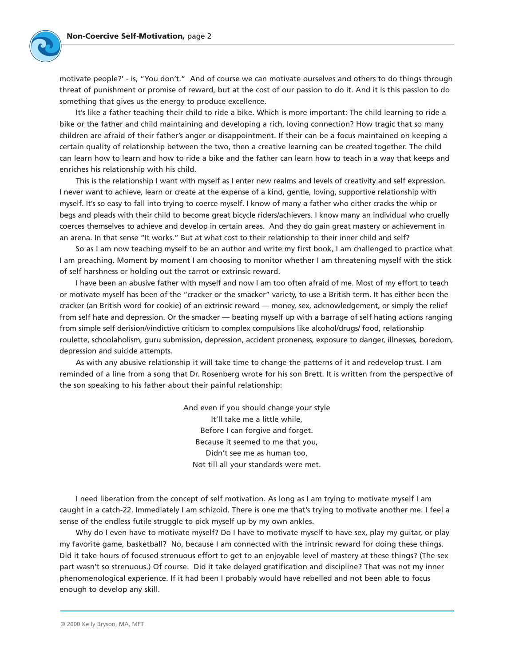

motivate people?' - is, "You don't." And of course we can motivate ourselves and others to do things through threat of punishment or promise of reward, but at the cost of our passion to do it. And it is this passion to do something that gives us the energy to produce excellence.

It's like a father teaching their child to ride a bike. Which is more important: The child learning to ride a bike or the father and child maintaining and developing a rich, loving connection? How tragic that so many children are afraid of their father's anger or disappointment. If their can be a focus maintained on keeping a certain quality of relationship between the two, then a creative learning can be created together. The child can learn how to learn and how to ride a bike and the father can learn how to teach in a way that keeps and enriches his relationship with his child.

This is the relationship I want with myself as I enter new realms and levels of creativity and self expression. I never want to achieve, learn or create at the expense of a kind, gentle, loving, supportive relationship with myself. It's so easy to fall into trying to coerce myself. I know of many a father who either cracks the whip or begs and pleads with their child to become great bicycle riders/achievers. I know many an individual who cruelly coerces themselves to achieve and develop in certain areas. And they do gain great mastery or achievement in an arena. In that sense "It works." But at what cost to their relationship to their inner child and self?

So as I am now teaching myself to be an author and write my first book, I am challenged to practice what I am preaching. Moment by moment I am choosing to monitor whether I am threatening myself with the stick of self harshness or holding out the carrot or extrinsic reward.

I have been an abusive father with myself and now I am too often afraid of me. Most of my effort to teach or motivate myself has been of the "cracker or the smacker" variety, to use a British term. It has either been the cracker (an British word for cookie) of an extrinsic reward — money, sex, acknowledgement, or simply the relief from self hate and depression. Or the smacker — beating myself up with a barrage of self hating actions ranging from simple self derision/vindictive criticism to complex compulsions like alcohol/drugs/ food, relationship roulette, schoolaholism, guru submission, depression, accident proneness, exposure to danger, illnesses, boredom, depression and suicide attempts.

As with any abusive relationship it will take time to change the patterns of it and redevelop trust. I am reminded of a line from a song that Dr. Rosenberg wrote for his son Brett. It is written from the perspective of the son speaking to his father about their painful relationship:

> And even if you should change your style It'll take me a little while, Before I can forgive and forget. Because it seemed to me that you, Didn't see me as human too, Not till all your standards were met.

I need liberation from the concept of self motivation. As long as I am trying to motivate myself I am caught in a catch-22. Immediately I am schizoid. There is one me that's trying to motivate another me. I feel a sense of the endless futile struggle to pick myself up by my own ankles.

Why do I even have to motivate myself? Do I have to motivate myself to have sex, play my quitar, or play my favorite game, basketball? No, because I am connected with the intrinsic reward for doing these things. Did it take hours of focused strenuous effort to get to an enjoyable level of mastery at these things? (The sex part wasn't so strenuous.) Of course. Did it take delayed gratification and discipline? That was not my inner phenomenological experience. If it had been I probably would have rebelled and not been able to focus enough to develop any skill.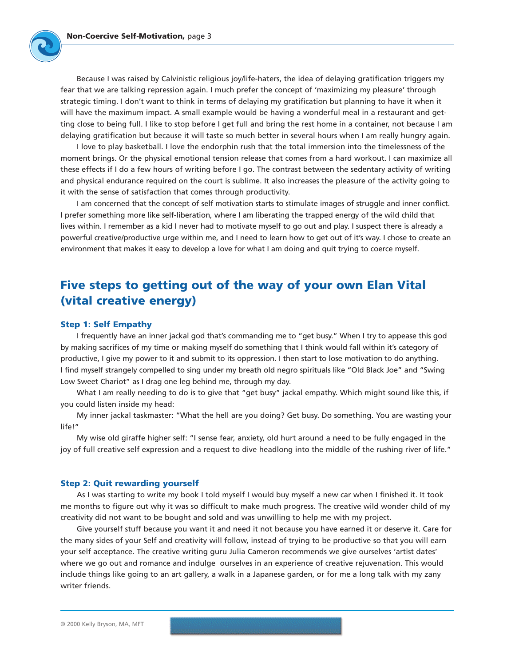

Because I was raised by Calvinistic religious joy/life-haters, the idea of delaying gratification triggers my fear that we are talking repression again. I much prefer the concept of 'maximizing my pleasure' through strategic timing. I don't want to think in terms of delaying my gratification but planning to have it when it will have the maximum impact. A small example would be having a wonderful meal in a restaurant and getting close to being full. I like to stop before I get full and bring the rest home in a container, not because I am delaying gratification but because it will taste so much better in several hours when I am really hungry again.

I love to play basketball. I love the endorphin rush that the total immersion into the timelessness of the moment brings. Or the physical emotional tension release that comes from a hard workout. I can maximize all these effects if I do a few hours of writing before I go. The contrast between the sedentary activity of writing and physical endurance required on the court is sublime. It also increases the pleasure of the activity going to it with the sense of satisfaction that comes through productivity.

I am concerned that the concept of self motivation starts to stimulate images of struggle and inner conflict. I prefer something more like self-liberation, where I am liberating the trapped energy of the wild child that lives within. I remember as a kid I never had to motivate myself to go out and play. I suspect there is already a powerful creative/productive urge within me, and I need to learn how to get out of it's way. I chose to create an environment that makes it easy to develop a love for what I am doing and quit trying to coerce myself.

# **Five steps to getting out of the way of your own Elan Vital (vital creative energy)**

#### **Step 1: Self Empathy**

I frequently have an inner jackal god that's commanding me to "get busy." When I try to appease this god by making sacrifices of my time or making myself do something that I think would fall within it's category of productive, I give my power to it and submit to its oppression. I then start to lose motivation to do anything. I find myself strangely compelled to sing under my breath old negro spirituals like "Old Black Joe" and "Swing Low Sweet Chariot" as I drag one leg behind me, through my day.

What I am really needing to do is to give that "get busy" jackal empathy. Which might sound like this, if you could listen inside my head:

My inner jackal taskmaster: "What the hell are you doing? Get busy. Do something. You are wasting your life!"

My wise old giraffe higher self: "I sense fear, anxiety, old hurt around a need to be fully engaged in the joy of full creative self expression and a request to dive headlong into the middle of the rushing river of life."

#### **Step 2: Quit rewarding yourself**

As I was starting to write my book I told myself I would buy myself a new car when I finished it. It took me months to figure out why it was so difficult to make much progress. The creative wild wonder child of my creativity did not want to be bought and sold and was unwilling to help me with my project.

Give yourself stuff because you want it and need it not because you have earned it or deserve it. Care for the many sides of your Self and creativity will follow, instead of trying to be productive so that you will earn your self acceptance. The creative writing guru Julia Cameron recommends we give ourselves 'artist dates' where we go out and romance and indulge ourselves in an experience of creative rejuvenation. This would include things like going to an art gallery, a walk in a Japanese garden, or for me a long talk with my zany writer friends.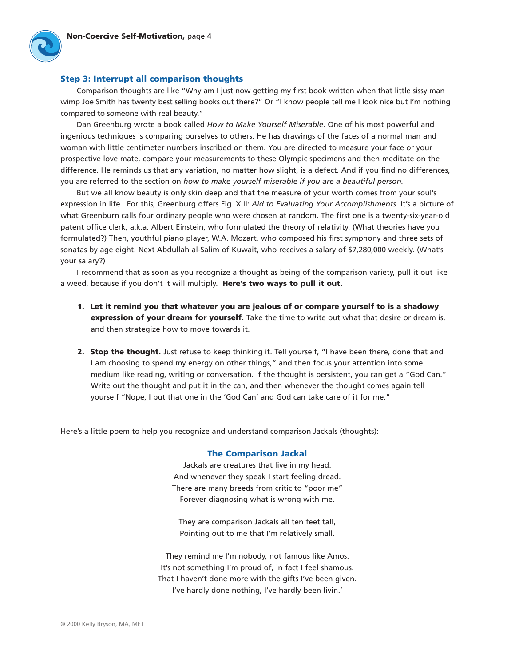

### **Step 3: Interrupt all comparison thoughts**

Comparison thoughts are like "Why am I just now getting my first book written when that little sissy man wimp Joe Smith has twenty best selling books out there?" Or "I know people tell me I look nice but I'm nothing compared to someone with real beauty."

Dan Greenburg wrote a book called *How to Make Yourself Miserable*. One of his most powerful and ingenious techniques is comparing ourselves to others. He has drawings of the faces of a normal man and woman with little centimeter numbers inscribed on them. You are directed to measure your face or your prospective love mate, compare your measurements to these Olympic specimens and then meditate on the difference. He reminds us that any variation, no matter how slight, is a defect. And if you find no differences, you are referred to the section on *how to make yourself miserable if you are a beautiful person.*

But we all know beauty is only skin deep and that the measure of your worth comes from your soul's expression in life. For this, Greenburg offers Fig. XIII: *Aid to Evaluating Your Accomplishments.* It's a picture of what Greenburn calls four ordinary people who were chosen at random. The first one is a twenty-six-year-old patent office clerk, a.k.a. Albert Einstein, who formulated the theory of relativity. (What theories have you formulated?) Then, youthful piano player, W.A. Mozart, who composed his first symphony and three sets of sonatas by age eight. Next Abdullah al-Salim of Kuwait, who receives a salary of \$7,280,000 weekly. (What's your salary?)

I recommend that as soon as you recognize a thought as being of the comparison variety, pull it out like a weed, because if you don't it will multiply. **Here's two ways to pull it out.**

- **1. Let it remind you that whatever you are jealous of or compare yourself to is a shadowy expression of your dream for yourself.** Take the time to write out what that desire or dream is, and then strategize how to move towards it.
- **2. Stop the thought.** Just refuse to keep thinking it. Tell yourself, "I have been there, done that and I am choosing to spend my energy on other things," and then focus your attention into some medium like reading, writing or conversation. If the thought is persistent, you can get a "God Can." Write out the thought and put it in the can, and then whenever the thought comes again tell yourself "Nope, I put that one in the 'God Can' and God can take care of it for me."

Here's a little poem to help you recognize and understand comparison Jackals (thoughts):

## **The Comparison Jackal**

Jackals are creatures that live in my head. And whenever they speak I start feeling dread. There are many breeds from critic to "poor me" Forever diagnosing what is wrong with me.

They are comparison Jackals all ten feet tall, Pointing out to me that I'm relatively small.

They remind me I'm nobody, not famous like Amos. It's not something I'm proud of, in fact I feel shamous. That I haven't done more with the gifts I've been given. I've hardly done nothing, I've hardly been livin.'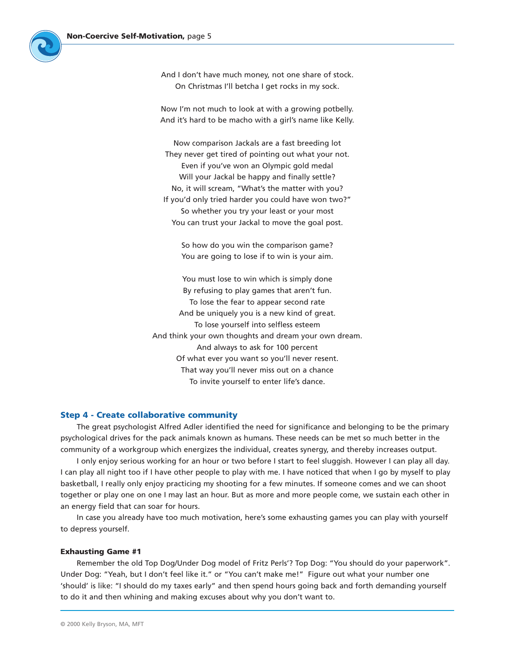

And I don't have much money, not one share of stock. On Christmas I'll betcha I get rocks in my sock.

Now I'm not much to look at with a growing potbelly. And it's hard to be macho with a girl's name like Kelly.

Now comparison Jackals are a fast breeding lot They never get tired of pointing out what your not. Even if you've won an Olympic gold medal Will your Jackal be happy and finally settle? No, it will scream, "What's the matter with you? If you'd only tried harder you could have won two?" So whether you try your least or your most You can trust your Jackal to move the goal post.

So how do you win the comparison game? You are going to lose if to win is your aim.

You must lose to win which is simply done By refusing to play games that aren't fun. To lose the fear to appear second rate And be uniquely you is a new kind of great. To lose yourself into selfless esteem And think your own thoughts and dream your own dream. And always to ask for 100 percent Of what ever you want so you'll never resent. That way you'll never miss out on a chance To invite yourself to enter life's dance.

## **Step 4 - Create collaborative community**

The great psychologist Alfred Adler identified the need for significance and belonging to be the primary psychological drives for the pack animals known as humans. These needs can be met so much better in the community of a workgroup which energizes the individual, creates synergy, and thereby increases output.

I only enjoy serious working for an hour or two before I start to feel sluggish. However I can play all day. I can play all night too if I have other people to play with me. I have noticed that when I go by myself to play basketball, I really only enjoy practicing my shooting for a few minutes. If someone comes and we can shoot together or play one on one I may last an hour. But as more and more people come, we sustain each other in an energy field that can soar for hours.

In case you already have too much motivation, here's some exhausting games you can play with yourself to depress yourself.

#### **Exhausting Game #1**

Remember the old Top Dog/Under Dog model of Fritz Perls'? Top Dog: "You should do your paperwork". Under Dog: "Yeah, but I don't feel like it." or "You can't make me!" Figure out what your number one 'should' is like: "I should do my taxes early" and then spend hours going back and forth demanding yourself to do it and then whining and making excuses about why you don't want to.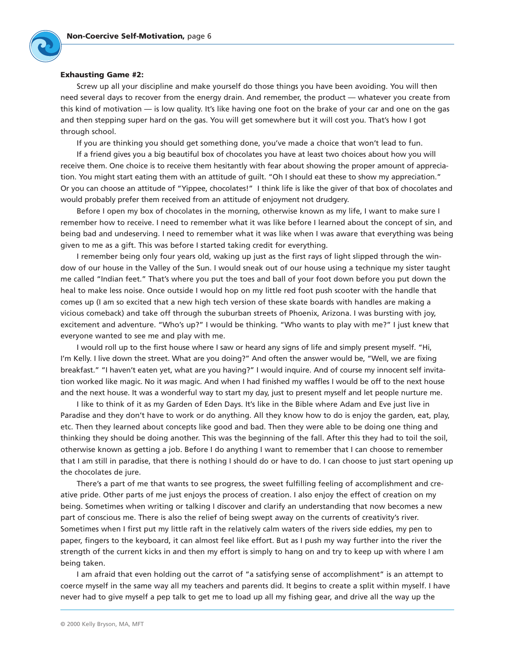#### **Exhausting Game #2:**

Screw up all your discipline and make yourself do those things you have been avoiding. You will then need several days to recover from the energy drain. And remember, the product — whatever you create from this kind of motivation — is low quality. It's like having one foot on the brake of your car and one on the gas and then stepping super hard on the gas. You will get somewhere but it will cost you. That's how I got through school.

If you are thinking you should get something done, you've made a choice that won't lead to fun.

If a friend gives you a big beautiful box of chocolates you have at least two choices about how you will receive them. One choice is to receive them hesitantly with fear about showing the proper amount of appreciation. You might start eating them with an attitude of guilt. "Oh I should eat these to show my appreciation." Or you can choose an attitude of "Yippee, chocolates!" I think life is like the giver of that box of chocolates and would probably prefer them received from an attitude of enjoyment not drudgery.

Before I open my box of chocolates in the morning, otherwise known as my life, I want to make sure I remember how to receive. I need to remember what it was like before I learned about the concept of sin, and being bad and undeserving. I need to remember what it was like when I was aware that everything was being given to me as a gift. This was before I started taking credit for everything.

I remember being only four years old, waking up just as the first rays of light slipped through the window of our house in the Valley of the Sun. I would sneak out of our house using a technique my sister taught me called "Indian feet." That's where you put the toes and ball of your foot down before you put down the heal to make less noise. Once outside I would hop on my little red foot push scooter with the handle that comes up (I am so excited that a new high tech version of these skate boards with handles are making a vicious comeback) and take off through the suburban streets of Phoenix, Arizona. I was bursting with joy, excitement and adventure. "Who's up?" I would be thinking. "Who wants to play with me?" I just knew that everyone wanted to see me and play with me.

I would roll up to the first house where I saw or heard any signs of life and simply present myself. "Hi, I'm Kelly. I live down the street. What are you doing?" And often the answer would be, "Well, we are fixing breakfast." "I haven't eaten yet, what are you having?" I would inquire. And of course my innocent self invitation worked like magic. No it *was* magic. And when I had finished my waffles I would be off to the next house and the next house. It was a wonderful way to start my day, just to present myself and let people nurture me.

I like to think of it as my Garden of Eden Days. It's like in the Bible where Adam and Eve just live in Paradise and they don't have to work or do anything. All they know how to do is enjoy the garden, eat, play, etc. Then they learned about concepts like good and bad. Then they were able to be doing one thing and thinking they should be doing another. This was the beginning of the fall. After this they had to toil the soil, otherwise known as getting a job. Before I do anything I want to remember that I can choose to remember that I am still in paradise, that there is nothing I should do or have to do. I can choose to just start opening up the chocolates de jure.

There's a part of me that wants to see progress, the sweet fulfilling feeling of accomplishment and creative pride. Other parts of me just enjoys the process of creation. I also enjoy the effect of creation on my being. Sometimes when writing or talking I discover and clarify an understanding that now becomes a new part of conscious me. There is also the relief of being swept away on the currents of creativity's river. Sometimes when I first put my little raft in the relatively calm waters of the rivers side eddies, my pen to paper, fingers to the keyboard, it can almost feel like effort. But as I push my way further into the river the strength of the current kicks in and then my effort is simply to hang on and try to keep up with where I am being taken.

I am afraid that even holding out the carrot of "a satisfying sense of accomplishment" is an attempt to coerce myself in the same way all my teachers and parents did. It begins to create a split within myself. I have never had to give myself a pep talk to get me to load up all my fishing gear, and drive all the way up the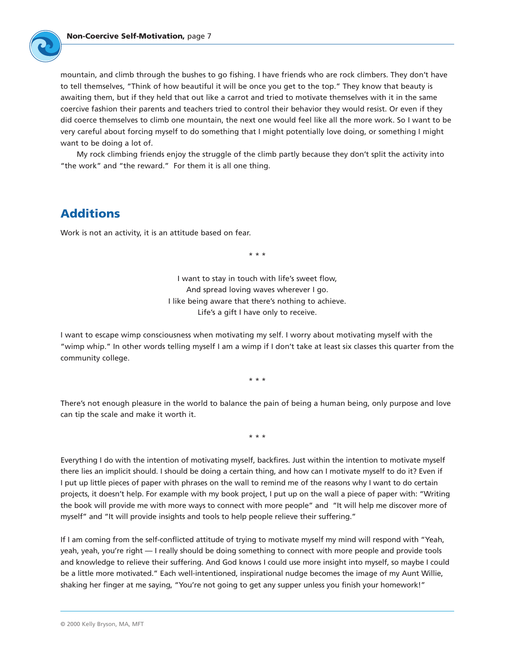

mountain, and climb through the bushes to go fishing. I have friends who are rock climbers. They don't have to tell themselves, "Think of how beautiful it will be once you get to the top." They know that beauty is awaiting them, but if they held that out like a carrot and tried to motivate themselves with it in the same coercive fashion their parents and teachers tried to control their behavior they would resist. Or even if they did coerce themselves to climb one mountain, the next one would feel like all the more work. So I want to be very careful about forcing myself to do something that I might potentially love doing, or something I might want to be doing a lot of.

My rock climbing friends enjoy the struggle of the climb partly because they don't split the activity into "the work" and "the reward." For them it is all one thing.

## **Additions**

Work is not an activity, it is an attitude based on fear.

\* \* \*

I want to stay in touch with life's sweet flow, And spread loving waves wherever I go. I like being aware that there's nothing to achieve. Life's a gift I have only to receive.

I want to escape wimp consciousness when motivating my self. I worry about motivating myself with the "wimp whip." In other words telling myself I am a wimp if I don't take at least six classes this quarter from the community college.

\* \* \*

There's not enough pleasure in the world to balance the pain of being a human being, only purpose and love can tip the scale and make it worth it.

\* \* \*

Everything I do with the intention of motivating myself, backfires. Just within the intention to motivate myself there lies an implicit should. I should be doing a certain thing, and how can I motivate myself to do it? Even if I put up little pieces of paper with phrases on the wall to remind me of the reasons why I want to do certain projects, it doesn't help. For example with my book project, I put up on the wall a piece of paper with: "Writing the book will provide me with more ways to connect with more people" and "It will help me discover more of myself" and "It will provide insights and tools to help people relieve their suffering."

If I am coming from the self-conflicted attitude of trying to motivate myself my mind will respond with "Yeah, yeah, yeah, you're right — I really should be doing something to connect with more people and provide tools and knowledge to relieve their suffering. And God knows I could use more insight into myself, so maybe I could be a little more motivated." Each well-intentioned, inspirational nudge becomes the image of my Aunt Willie, shaking her finger at me saying, "You're not going to get any supper unless you finish your homework!"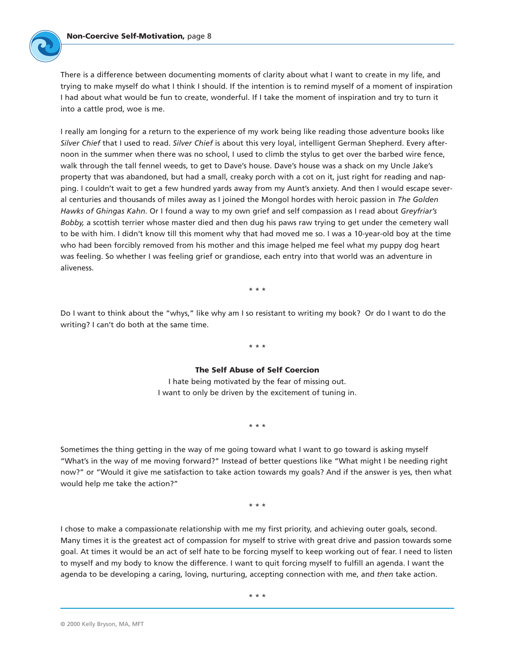

There is a difference between documenting moments of clarity about what I want to create in my life, and trying to make myself do what I think I should. If the intention is to remind myself of a moment of inspiration I had about what would be fun to create, wonderful. If I take the moment of inspiration and try to turn it into a cattle prod, woe is me.

I really am longing for a return to the experience of my work being like reading those adventure books like *Silver Chief* that I used to read. *Silver Chief* is about this very loyal, intelligent German Shepherd. Every afternoon in the summer when there was no school, I used to climb the stylus to get over the barbed wire fence, walk through the tall fennel weeds, to get to Dave's house. Dave's house was a shack on my Uncle Jake's property that was abandoned, but had a small, creaky porch with a cot on it, just right for reading and napping. I couldn't wait to get a few hundred yards away from my Aunt's anxiety. And then I would escape several centuries and thousands of miles away as I joined the Mongol hordes with heroic passion in *The Golden Hawks of Ghingas Kahn*. Or I found a way to my own grief and self compassion as I read about *Greyfriar's Bobby,* a scottish terrier whose master died and then dug his paws raw trying to get under the cemetery wall to be with him. I didn't know till this moment why that had moved me so. I was a 10-year-old boy at the time who had been forcibly removed from his mother and this image helped me feel what my puppy dog heart was feeling. So whether I was feeling grief or grandiose, each entry into that world was an adventure in aliveness.

\* \* \*

Do I want to think about the "whys," like why am I so resistant to writing my book? Or do I want to do the writing? I can't do both at the same time.

\* \* \*

## **The Self Abuse of Self Coercion**

I hate being motivated by the fear of missing out. I want to only be driven by the excitement of tuning in.

\* \* \*

Sometimes the thing getting in the way of me going toward what I want to go toward is asking myself "What's in the way of me moving forward?" Instead of better questions like "What might I be needing right now?" or "Would it give me satisfaction to take action towards my goals? And if the answer is yes, then what would help me take the action?"

\* \* \*

I chose to make a compassionate relationship with me my first priority, and achieving outer goals, second. Many times it is the greatest act of compassion for myself to strive with great drive and passion towards some goal. At times it would be an act of self hate to be forcing myself to keep working out of fear. I need to listen to myself and my body to know the difference. I want to quit forcing myself to fulfill an agenda. I want the agenda to be developing a caring, loving, nurturing, accepting connection with me, and *then* take action.

\* \* \*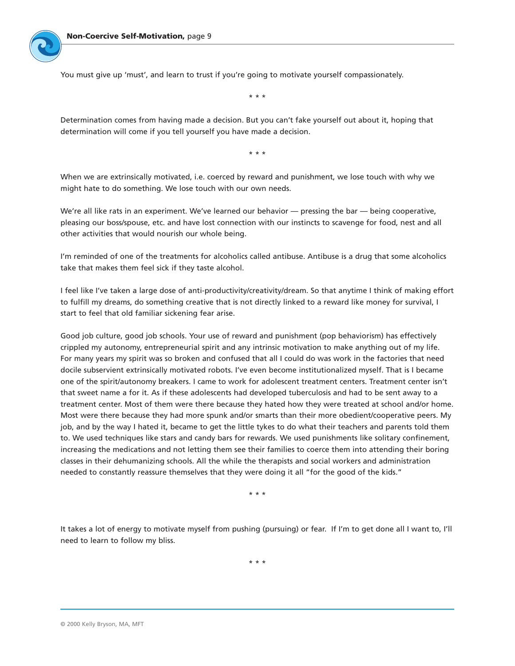You must give up 'must', and learn to trust if you're going to motivate yourself compassionately.

\* \* \*

Determination comes from having made a decision. But you can't fake yourself out about it, hoping that determination will come if you tell yourself you have made a decision.

\* \* \*

When we are extrinsically motivated, i.e. coerced by reward and punishment, we lose touch with why we might hate to do something. We lose touch with our own needs.

We're all like rats in an experiment. We've learned our behavior — pressing the bar — being cooperative, pleasing our boss/spouse, etc. and have lost connection with our instincts to scavenge for food, nest and all other activities that would nourish our whole being.

I'm reminded of one of the treatments for alcoholics called antibuse. Antibuse is a drug that some alcoholics take that makes them feel sick if they taste alcohol.

I feel like I've taken a large dose of anti-productivity/creativity/dream. So that anytime I think of making effort to fulfill my dreams, do something creative that is not directly linked to a reward like money for survival, I start to feel that old familiar sickening fear arise.

Good job culture, good job schools. Your use of reward and punishment (pop behaviorism) has effectively crippled my autonomy, entrepreneurial spirit and any intrinsic motivation to make anything out of my life. For many years my spirit was so broken and confused that all I could do was work in the factories that need docile subservient extrinsically motivated robots. I've even become institutionalized myself. That is I became one of the spirit/autonomy breakers. I came to work for adolescent treatment centers. Treatment center isn't that sweet name a for it. As if these adolescents had developed tuberculosis and had to be sent away to a treatment center. Most of them were there because they hated how they were treated at school and/or home. Most were there because they had more spunk and/or smarts than their more obedient/cooperative peers. My job, and by the way I hated it, became to get the little tykes to do what their teachers and parents told them to. We used techniques like stars and candy bars for rewards. We used punishments like solitary confinement, increasing the medications and not letting them see their families to coerce them into attending their boring classes in their dehumanizing schools. All the while the therapists and social workers and administration needed to constantly reassure themselves that they were doing it all "for the good of the kids."

\* \* \*

It takes a lot of energy to motivate myself from pushing (pursuing) or fear. If I'm to get done all I want to, I'll need to learn to follow my bliss.

\* \* \*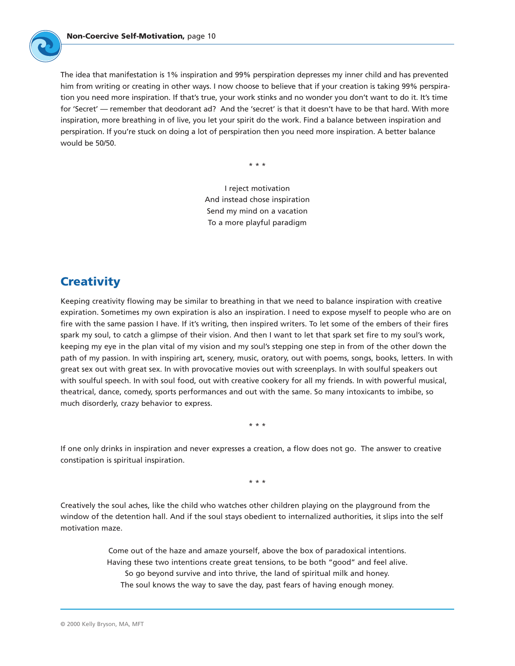

\* \* \*

I reject motivation And instead chose inspiration Send my mind on a vacation To a more playful paradigm

# **Creativity**

Keeping creativity flowing may be similar to breathing in that we need to balance inspiration with creative expiration. Sometimes my own expiration is also an inspiration. I need to expose myself to people who are on fire with the same passion I have. If it's writing, then inspired writers. To let some of the embers of their fires spark my soul, to catch a glimpse of their vision. And then I want to let that spark set fire to my soul's work, keeping my eye in the plan vital of my vision and my soul's stepping one step in from of the other down the path of my passion. In with inspiring art, scenery, music, oratory, out with poems, songs, books, letters. In with great sex out with great sex. In with provocative movies out with screenplays. In with soulful speakers out with soulful speech. In with soul food, out with creative cookery for all my friends. In with powerful musical, theatrical, dance, comedy, sports performances and out with the same. So many intoxicants to imbibe, so much disorderly, crazy behavior to express.

\* \* \*

If one only drinks in inspiration and never expresses a creation, a flow does not go. The answer to creative constipation is spiritual inspiration.

\* \* \*

Creatively the soul aches, like the child who watches other children playing on the playground from the window of the detention hall. And if the soul stays obedient to internalized authorities, it slips into the self motivation maze.

> Come out of the haze and amaze yourself, above the box of paradoxical intentions. Having these two intentions create great tensions, to be both "good" and feel alive. So go beyond survive and into thrive, the land of spiritual milk and honey. The soul knows the way to save the day, past fears of having enough money.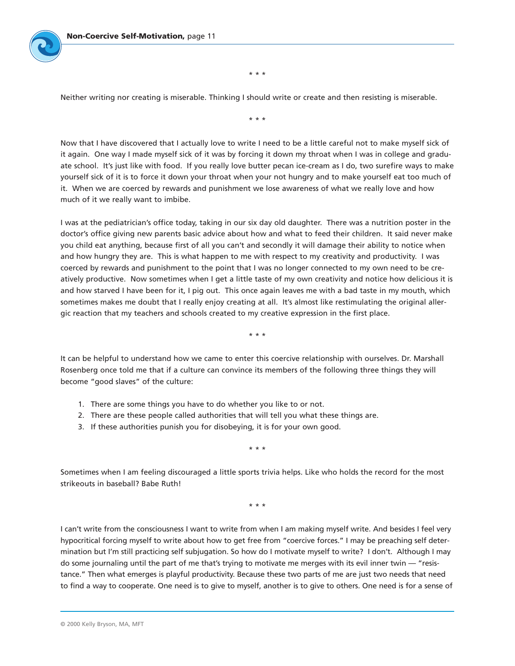\* \* \*

Neither writing nor creating is miserable. Thinking I should write or create and then resisting is miserable.

\* \* \*

Now that I have discovered that I actually love to write I need to be a little careful not to make myself sick of it again. One way I made myself sick of it was by forcing it down my throat when I was in college and graduate school. It's just like with food. If you really love butter pecan ice-cream as I do, two surefire ways to make yourself sick of it is to force it down your throat when your not hungry and to make yourself eat too much of it. When we are coerced by rewards and punishment we lose awareness of what we really love and how much of it we really want to imbibe.

I was at the pediatrician's office today, taking in our six day old daughter. There was a nutrition poster in the doctor's office giving new parents basic advice about how and what to feed their children. It said never make you child eat anything, because first of all you can't and secondly it will damage their ability to notice when and how hungry they are. This is what happen to me with respect to my creativity and productivity. I was coerced by rewards and punishment to the point that I was no longer connected to my own need to be creatively productive. Now sometimes when I get a little taste of my own creativity and notice how delicious it is and how starved I have been for it, I pig out. This once again leaves me with a bad taste in my mouth, which sometimes makes me doubt that I really enjoy creating at all. It's almost like restimulating the original allergic reaction that my teachers and schools created to my creative expression in the first place.

\* \* \*

It can be helpful to understand how we came to enter this coercive relationship with ourselves. Dr. Marshall Rosenberg once told me that if a culture can convince its members of the following three things they will become "good slaves" of the culture:

- 1. There are some things you have to do whether you like to or not.
- 2. There are these people called authorities that will tell you what these things are.
- 3. If these authorities punish you for disobeying, it is for your own good.

\* \* \*

Sometimes when I am feeling discouraged a little sports trivia helps. Like who holds the record for the most strikeouts in baseball? Babe Ruth!

\* \* \*

I can't write from the consciousness I want to write from when I am making myself write. And besides I feel very hypocritical forcing myself to write about how to get free from "coercive forces." I may be preaching self determination but I'm still practicing self subjugation. So how do I motivate myself to write? I don't. Although I may do some journaling until the part of me that's trying to motivate me merges with its evil inner twin — "resistance." Then what emerges is playful productivity. Because these two parts of me are just two needs that need to find a way to cooperate. One need is to give to myself, another is to give to others. One need is for a sense of